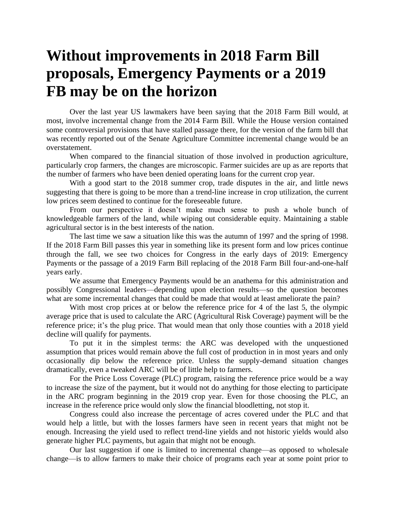## **Without improvements in 2018 Farm Bill proposals, Emergency Payments or a 2019 FB may be on the horizon**

Over the last year US lawmakers have been saying that the 2018 Farm Bill would, at most, involve incremental change from the 2014 Farm Bill. While the House version contained some controversial provisions that have stalled passage there, for the version of the farm bill that was recently reported out of the Senate Agriculture Committee incremental change would be an overstatement.

When compared to the financial situation of those involved in production agriculture, particularly crop farmers, the changes are microscopic. Farmer suicides are up as are reports that the number of farmers who have been denied operating loans for the current crop year.

With a good start to the 2018 summer crop, trade disputes in the air, and little news suggesting that there is going to be more than a trend-line increase in crop utilization, the current low prices seem destined to continue for the foreseeable future.

From our perspective it doesn't make much sense to push a whole bunch of knowledgeable farmers of the land, while wiping out considerable equity. Maintaining a stable agricultural sector is in the best interests of the nation.

The last time we saw a situation like this was the autumn of 1997 and the spring of 1998. If the 2018 Farm Bill passes this year in something like its present form and low prices continue through the fall, we see two choices for Congress in the early days of 2019: Emergency Payments or the passage of a 2019 Farm Bill replacing of the 2018 Farm Bill four-and-one-half years early.

We assume that Emergency Payments would be an anathema for this administration and possibly Congressional leaders—depending upon election results—so the question becomes what are some incremental changes that could be made that would at least ameliorate the pain?

With most crop prices at or below the reference price for 4 of the last 5, the olympic average price that is used to calculate the ARC (Agricultural Risk Coverage) payment will be the reference price; it's the plug price. That would mean that only those counties with a 2018 yield decline will qualify for payments.

To put it in the simplest terms: the ARC was developed with the unquestioned assumption that prices would remain above the full cost of production in in most years and only occasionally dip below the reference price. Unless the supply-demand situation changes dramatically, even a tweaked ARC will be of little help to farmers.

For the Price Loss Coverage (PLC) program, raising the reference price would be a way to increase the size of the payment, but it would not do anything for those electing to participate in the ARC program beginning in the 2019 crop year. Even for those choosing the PLC, an increase in the reference price would only slow the financial bloodletting, not stop it.

Congress could also increase the percentage of acres covered under the PLC and that would help a little, but with the losses farmers have seen in recent years that might not be enough. Increasing the yield used to reflect trend-line yields and not historic yields would also generate higher PLC payments, but again that might not be enough.

Our last suggestion if one is limited to incremental change—as opposed to wholesale change—is to allow farmers to make their choice of programs each year at some point prior to